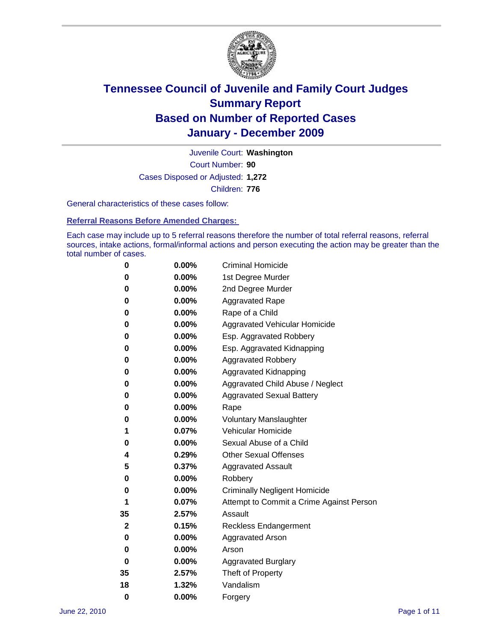

Court Number: **90** Juvenile Court: **Washington** Cases Disposed or Adjusted: **1,272** Children: **776**

General characteristics of these cases follow:

**Referral Reasons Before Amended Charges:** 

Each case may include up to 5 referral reasons therefore the number of total referral reasons, referral sources, intake actions, formal/informal actions and person executing the action may be greater than the total number of cases.

| 0  | 0.00%    | <b>Criminal Homicide</b>                 |
|----|----------|------------------------------------------|
| 0  | 0.00%    | 1st Degree Murder                        |
| 0  | 0.00%    | 2nd Degree Murder                        |
| 0  | 0.00%    | <b>Aggravated Rape</b>                   |
| 0  | 0.00%    | Rape of a Child                          |
| 0  | 0.00%    | Aggravated Vehicular Homicide            |
| 0  | 0.00%    | Esp. Aggravated Robbery                  |
| 0  | 0.00%    | Esp. Aggravated Kidnapping               |
| 0  | 0.00%    | <b>Aggravated Robbery</b>                |
| 0  | 0.00%    | Aggravated Kidnapping                    |
| 0  | 0.00%    | Aggravated Child Abuse / Neglect         |
| 0  | 0.00%    | <b>Aggravated Sexual Battery</b>         |
| 0  | 0.00%    | Rape                                     |
| 0  | 0.00%    | <b>Voluntary Manslaughter</b>            |
| 1  | 0.07%    | Vehicular Homicide                       |
| 0  | 0.00%    | Sexual Abuse of a Child                  |
| 4  | 0.29%    | <b>Other Sexual Offenses</b>             |
| 5  | 0.37%    | <b>Aggravated Assault</b>                |
| 0  | $0.00\%$ | Robbery                                  |
| 0  | 0.00%    | <b>Criminally Negligent Homicide</b>     |
| 1  | 0.07%    | Attempt to Commit a Crime Against Person |
| 35 | 2.57%    | Assault                                  |
| 2  | 0.15%    | <b>Reckless Endangerment</b>             |
| 0  | 0.00%    | <b>Aggravated Arson</b>                  |
| 0  | 0.00%    | Arson                                    |
| 0  | 0.00%    | <b>Aggravated Burglary</b>               |
| 35 | 2.57%    | Theft of Property                        |
| 18 | 1.32%    | Vandalism                                |
| 0  | 0.00%    | Forgery                                  |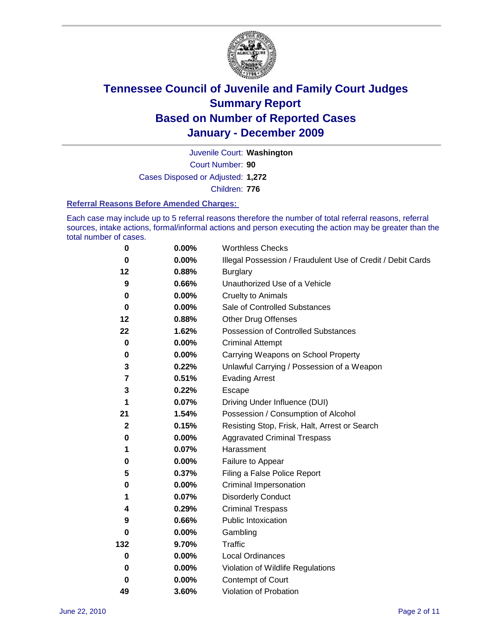

Court Number: **90** Juvenile Court: **Washington** Cases Disposed or Adjusted: **1,272** Children: **776**

#### **Referral Reasons Before Amended Charges:**

Each case may include up to 5 referral reasons therefore the number of total referral reasons, referral sources, intake actions, formal/informal actions and person executing the action may be greater than the total number of cases.

| $\pmb{0}$    | 0.00%    | <b>Worthless Checks</b>                                     |
|--------------|----------|-------------------------------------------------------------|
| 0            | 0.00%    | Illegal Possession / Fraudulent Use of Credit / Debit Cards |
| 12           | 0.88%    | <b>Burglary</b>                                             |
| 9            | 0.66%    | Unauthorized Use of a Vehicle                               |
| 0            | $0.00\%$ | <b>Cruelty to Animals</b>                                   |
| $\bf{0}$     | 0.00%    | Sale of Controlled Substances                               |
| 12           | 0.88%    | <b>Other Drug Offenses</b>                                  |
| 22           | 1.62%    | Possession of Controlled Substances                         |
| $\mathbf 0$  | $0.00\%$ | <b>Criminal Attempt</b>                                     |
| 0            | 0.00%    | Carrying Weapons on School Property                         |
| 3            | 0.22%    | Unlawful Carrying / Possession of a Weapon                  |
| 7            | 0.51%    | <b>Evading Arrest</b>                                       |
| 3            | 0.22%    | Escape                                                      |
| 1            | 0.07%    | Driving Under Influence (DUI)                               |
| 21           | 1.54%    | Possession / Consumption of Alcohol                         |
| $\mathbf{2}$ | 0.15%    | Resisting Stop, Frisk, Halt, Arrest or Search               |
| 0            | $0.00\%$ | <b>Aggravated Criminal Trespass</b>                         |
| 1            | 0.07%    | Harassment                                                  |
| $\pmb{0}$    | 0.00%    | Failure to Appear                                           |
| 5            | 0.37%    | Filing a False Police Report                                |
| 0            | 0.00%    | Criminal Impersonation                                      |
| 1            | 0.07%    | <b>Disorderly Conduct</b>                                   |
| 4            | 0.29%    | <b>Criminal Trespass</b>                                    |
| 9            | 0.66%    | Public Intoxication                                         |
| 0            | $0.00\%$ | Gambling                                                    |
| 132          | 9.70%    | Traffic                                                     |
| 0            | $0.00\%$ | Local Ordinances                                            |
| 0            | $0.00\%$ | Violation of Wildlife Regulations                           |
| 0            | $0.00\%$ | Contempt of Court                                           |
| 49           | 3.60%    | Violation of Probation                                      |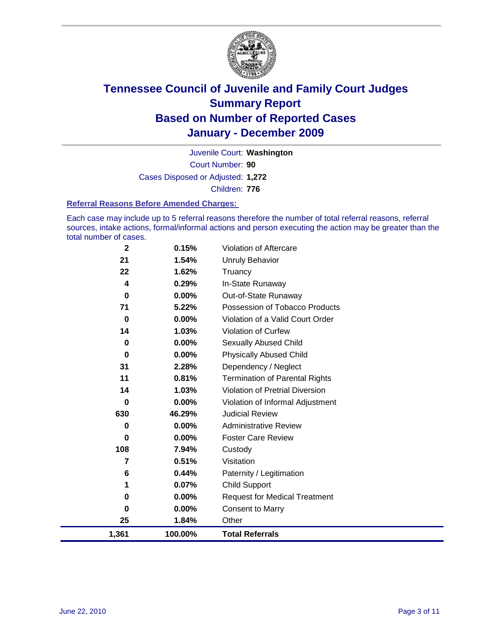

Court Number: **90** Juvenile Court: **Washington** Cases Disposed or Adjusted: **1,272** Children: **776**

#### **Referral Reasons Before Amended Charges:**

Each case may include up to 5 referral reasons therefore the number of total referral reasons, referral sources, intake actions, formal/informal actions and person executing the action may be greater than the total number of cases.

| $\mathbf{2}$            | 0.15%    | <b>Violation of Aftercare</b>          |
|-------------------------|----------|----------------------------------------|
| 21                      | 1.54%    | <b>Unruly Behavior</b>                 |
| 22                      | 1.62%    | Truancy                                |
| $\overline{\mathbf{4}}$ | 0.29%    | In-State Runaway                       |
| $\mathbf 0$             | $0.00\%$ | Out-of-State Runaway                   |
| 71                      | 5.22%    | Possession of Tobacco Products         |
| $\mathbf 0$             | $0.00\%$ | Violation of a Valid Court Order       |
| 14                      | 1.03%    | <b>Violation of Curfew</b>             |
| 0                       | $0.00\%$ | Sexually Abused Child                  |
| $\mathbf 0$             | $0.00\%$ | <b>Physically Abused Child</b>         |
| 31                      | 2.28%    | Dependency / Neglect                   |
| 11                      | 0.81%    | <b>Termination of Parental Rights</b>  |
| 14                      | 1.03%    | <b>Violation of Pretrial Diversion</b> |
| 0                       | $0.00\%$ | Violation of Informal Adjustment       |
| 630                     | 46.29%   | <b>Judicial Review</b>                 |
| 0                       | $0.00\%$ | <b>Administrative Review</b>           |
| 0                       | $0.00\%$ | <b>Foster Care Review</b>              |
| 108                     | 7.94%    | Custody                                |
| 7                       | 0.51%    | Visitation                             |
| 6                       | 0.44%    | Paternity / Legitimation               |
| 1                       | 0.07%    | <b>Child Support</b>                   |
| 0                       | $0.00\%$ | <b>Request for Medical Treatment</b>   |
| 0                       | 0.00%    | <b>Consent to Marry</b>                |
| 25                      | 1.84%    | Other                                  |
| 1,361                   | 100.00%  | <b>Total Referrals</b>                 |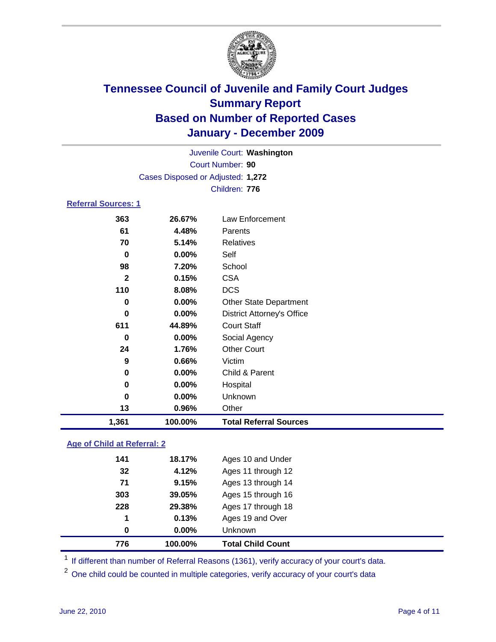

| 1,361                      | 100.00%                           | <b>Total Referral Sources</b>     |  |
|----------------------------|-----------------------------------|-----------------------------------|--|
| 13                         | 0.96%                             | Other                             |  |
| $\bf{0}$                   | 0.00%                             | Unknown                           |  |
| 0                          | 0.00%                             | Hospital                          |  |
| 0                          | $0.00\%$                          | Child & Parent                    |  |
| 9                          | 0.66%                             | Victim                            |  |
| 24                         | 1.76%                             | <b>Other Court</b>                |  |
| 0                          | $0.00\%$                          | Social Agency                     |  |
| 611                        | 44.89%                            | <b>Court Staff</b>                |  |
| $\bf{0}$                   | $0.00\%$                          | <b>District Attorney's Office</b> |  |
| 0                          | 0.00%                             | <b>Other State Department</b>     |  |
| 110                        | 8.08%                             | <b>DCS</b>                        |  |
| $\mathbf{2}$               | 0.15%                             | <b>CSA</b>                        |  |
| 98                         | 7.20%                             | School                            |  |
| 0                          | $0.00\%$                          | Self                              |  |
| 70                         | 5.14%                             | <b>Relatives</b>                  |  |
| 61                         | 4.48%                             | Parents                           |  |
| 363                        | 26.67%                            | Law Enforcement                   |  |
| <b>Referral Sources: 1</b> |                                   |                                   |  |
|                            |                                   | Children: 776                     |  |
|                            | Cases Disposed or Adjusted: 1,272 |                                   |  |
|                            | Court Number: 90                  |                                   |  |
| Juvenile Court: Washington |                                   |                                   |  |
|                            |                                   |                                   |  |

### **Age of Child at Referral: 2**

| 0   | 0.00%  | <b>Unknown</b>     |
|-----|--------|--------------------|
| 1   | 0.13%  | Ages 19 and Over   |
| 228 | 29.38% | Ages 17 through 18 |
| 303 | 39.05% | Ages 15 through 16 |
| 71  | 9.15%  | Ages 13 through 14 |
| 32  | 4.12%  | Ages 11 through 12 |
| 141 | 18.17% | Ages 10 and Under  |
|     |        |                    |

<sup>1</sup> If different than number of Referral Reasons (1361), verify accuracy of your court's data.

<sup>2</sup> One child could be counted in multiple categories, verify accuracy of your court's data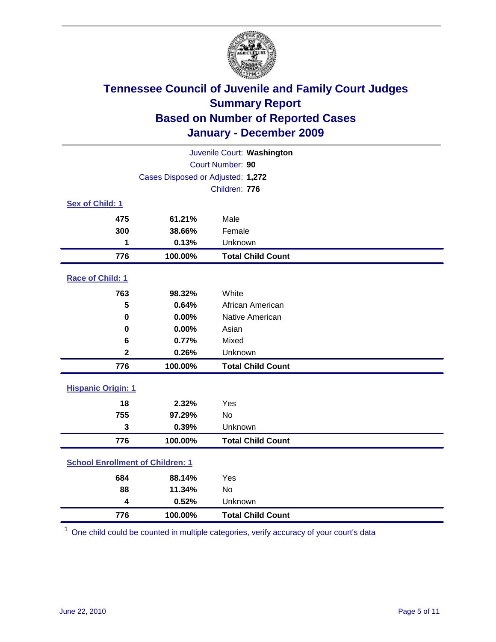

| Juvenile Court: Washington              |                                   |                          |  |  |
|-----------------------------------------|-----------------------------------|--------------------------|--|--|
| Court Number: 90                        |                                   |                          |  |  |
|                                         | Cases Disposed or Adjusted: 1,272 |                          |  |  |
|                                         |                                   | Children: 776            |  |  |
| Sex of Child: 1                         |                                   |                          |  |  |
| 475                                     | 61.21%                            | Male                     |  |  |
| 300                                     | 38.66%                            | Female                   |  |  |
| 1                                       | 0.13%                             | Unknown                  |  |  |
| 776                                     | 100.00%                           | <b>Total Child Count</b> |  |  |
| Race of Child: 1                        |                                   |                          |  |  |
| 763                                     | 98.32%                            | White                    |  |  |
| 5                                       | 0.64%                             | African American         |  |  |
| $\mathbf 0$                             | 0.00%                             | <b>Native American</b>   |  |  |
| 0                                       | 0.00%                             | Asian                    |  |  |
| 6                                       | 0.77%                             | Mixed                    |  |  |
| $\mathbf 2$                             | 0.26%                             | Unknown                  |  |  |
| 776                                     | 100.00%                           | <b>Total Child Count</b> |  |  |
| <b>Hispanic Origin: 1</b>               |                                   |                          |  |  |
| 18                                      | 2.32%                             | Yes                      |  |  |
| 755                                     | 97.29%                            | <b>No</b>                |  |  |
| 3                                       | 0.39%                             | Unknown                  |  |  |
| 776                                     | 100.00%                           | <b>Total Child Count</b> |  |  |
| <b>School Enrollment of Children: 1</b> |                                   |                          |  |  |
| 684                                     | 88.14%                            | Yes                      |  |  |
| 88                                      | 11.34%                            | <b>No</b>                |  |  |
| 4                                       | 0.52%                             | Unknown                  |  |  |
| 776                                     | 100.00%                           | <b>Total Child Count</b> |  |  |

One child could be counted in multiple categories, verify accuracy of your court's data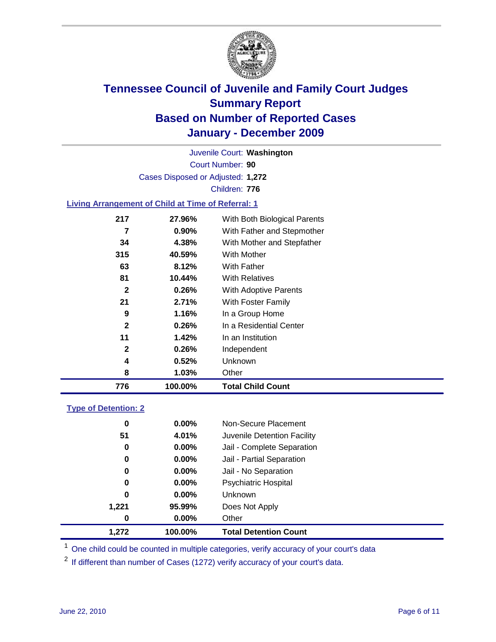

Court Number: **90** Juvenile Court: **Washington** Cases Disposed or Adjusted: **1,272** Children: **776**

### **Living Arrangement of Child at Time of Referral: 1**

| 776          | 100.00%  | <b>Total Child Count</b>     |
|--------------|----------|------------------------------|
| 8            | 1.03%    | Other                        |
| 4            | 0.52%    | Unknown                      |
| $\mathbf{2}$ | 0.26%    | Independent                  |
| 11           | 1.42%    | In an Institution            |
| $\mathbf{2}$ | 0.26%    | In a Residential Center      |
| 9            | 1.16%    | In a Group Home              |
| 21           | 2.71%    | With Foster Family           |
| $\mathbf{2}$ | 0.26%    | With Adoptive Parents        |
| 81           | 10.44%   | <b>With Relatives</b>        |
| 63           | 8.12%    | With Father                  |
| 315          | 40.59%   | With Mother                  |
| 34           | 4.38%    | With Mother and Stepfather   |
| 7            | $0.90\%$ | With Father and Stepmother   |
| 217          | 27.96%   | With Both Biological Parents |
|              |          |                              |

### **Type of Detention: 2**

| 1.272 | 100.00%  | <b>Total Detention Count</b> |
|-------|----------|------------------------------|
| 0     | $0.00\%$ | Other                        |
| 1,221 | 95.99%   | Does Not Apply               |
| 0     | $0.00\%$ | <b>Unknown</b>               |
| 0     | $0.00\%$ | <b>Psychiatric Hospital</b>  |
| 0     | 0.00%    | Jail - No Separation         |
| 0     | $0.00\%$ | Jail - Partial Separation    |
| 0     | 0.00%    | Jail - Complete Separation   |
| 51    | 4.01%    | Juvenile Detention Facility  |
| 0     | $0.00\%$ | Non-Secure Placement         |
|       |          |                              |

<sup>1</sup> One child could be counted in multiple categories, verify accuracy of your court's data

<sup>2</sup> If different than number of Cases (1272) verify accuracy of your court's data.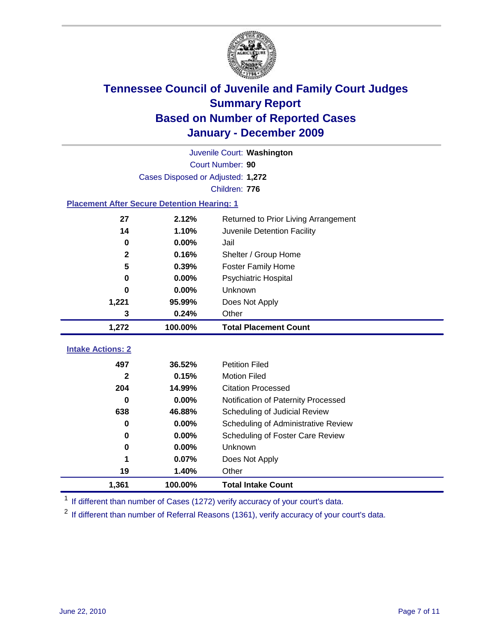

|                                                    | Juvenile Court: Washington        |                                      |  |  |  |
|----------------------------------------------------|-----------------------------------|--------------------------------------|--|--|--|
|                                                    | Court Number: 90                  |                                      |  |  |  |
|                                                    | Cases Disposed or Adjusted: 1,272 |                                      |  |  |  |
|                                                    |                                   | Children: 776                        |  |  |  |
| <b>Placement After Secure Detention Hearing: 1</b> |                                   |                                      |  |  |  |
| 27                                                 | 2.12%                             | Returned to Prior Living Arrangement |  |  |  |
| 14                                                 | 1.10%                             | Juvenile Detention Facility          |  |  |  |
| $\mathbf 0$                                        | 0.00%                             | Jail                                 |  |  |  |
| $\mathbf{2}$                                       | 0.16%                             | Shelter / Group Home                 |  |  |  |
| 5                                                  | 0.39%                             | <b>Foster Family Home</b>            |  |  |  |
| $\bf{0}$                                           | 0.00%                             | Psychiatric Hospital                 |  |  |  |
| U                                                  | 0.00%                             | Unknown                              |  |  |  |
| 1,221                                              | 95.99%                            | Does Not Apply                       |  |  |  |
| 3                                                  | 0.24%                             | Other                                |  |  |  |
| 1,272                                              | 100.00%                           | <b>Total Placement Count</b>         |  |  |  |
| <b>Intake Actions: 2</b>                           |                                   |                                      |  |  |  |
|                                                    |                                   |                                      |  |  |  |
| 497                                                | 36.52%                            | <b>Petition Filed</b>                |  |  |  |
| $\mathbf{2}$                                       | 0.15%                             | <b>Motion Filed</b>                  |  |  |  |
| 204                                                | 14.99%                            | <b>Citation Processed</b>            |  |  |  |
| 0                                                  | 0.00%                             | Notification of Paternity Processed  |  |  |  |
| 638                                                | 46.88%                            | Scheduling of Judicial Review        |  |  |  |
| 0                                                  | 0.00%                             | Scheduling of Administrative Review  |  |  |  |
| 0                                                  | 0.00%                             | Scheduling of Foster Care Review     |  |  |  |
| $\bf{0}$                                           | 0.00%                             | <b>Unknown</b>                       |  |  |  |
| 1                                                  | 0.07%                             | Does Not Apply                       |  |  |  |
| 19                                                 | 1.40%                             | Other                                |  |  |  |
| 1,361                                              | 100.00%                           | <b>Total Intake Count</b>            |  |  |  |

<sup>1</sup> If different than number of Cases (1272) verify accuracy of your court's data.

<sup>2</sup> If different than number of Referral Reasons (1361), verify accuracy of your court's data.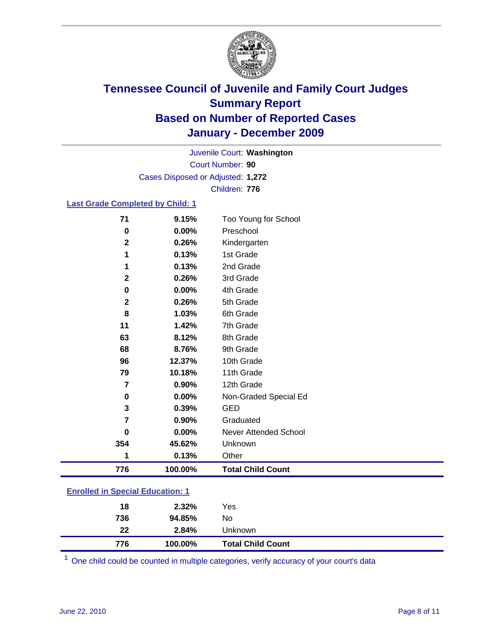

Court Number: **90** Juvenile Court: **Washington** Cases Disposed or Adjusted: **1,272** Children: **776**

### **Last Grade Completed by Child: 1**

| 71                                      | 9.15%   | Too Young for School     |
|-----------------------------------------|---------|--------------------------|
| $\bf{0}$                                | 0.00%   | Preschool                |
| $\mathbf{2}$                            | 0.26%   | Kindergarten             |
| 1                                       | 0.13%   | 1st Grade                |
| 1                                       | 0.13%   | 2nd Grade                |
| $\mathbf{2}$                            | 0.26%   | 3rd Grade                |
| 0                                       | 0.00%   | 4th Grade                |
| $\mathbf{2}$                            | 0.26%   | 5th Grade                |
| 8                                       | 1.03%   | 6th Grade                |
| 11                                      | 1.42%   | 7th Grade                |
| 63                                      | 8.12%   | 8th Grade                |
| 68                                      | 8.76%   | 9th Grade                |
| 96                                      | 12.37%  | 10th Grade               |
| 79                                      | 10.18%  | 11th Grade               |
| 7                                       | 0.90%   | 12th Grade               |
| 0                                       | 0.00%   | Non-Graded Special Ed    |
| 3                                       | 0.39%   | <b>GED</b>               |
| 7                                       | 0.90%   | Graduated                |
| 0                                       | 0.00%   | Never Attended School    |
| 354                                     | 45.62%  | Unknown                  |
| 1                                       | 0.13%   | Other                    |
| 776                                     | 100.00% | <b>Total Child Count</b> |
| <b>Enrolled in Special Education: 1</b> |         |                          |

| 776 | 100.00% | <b>Total Child Count</b> |
|-----|---------|--------------------------|
| 22  | 2.84%   | Unknown                  |
| 736 | 94.85%  | No                       |
| 18  | 2.32%   | Yes                      |
|     |         |                          |

One child could be counted in multiple categories, verify accuracy of your court's data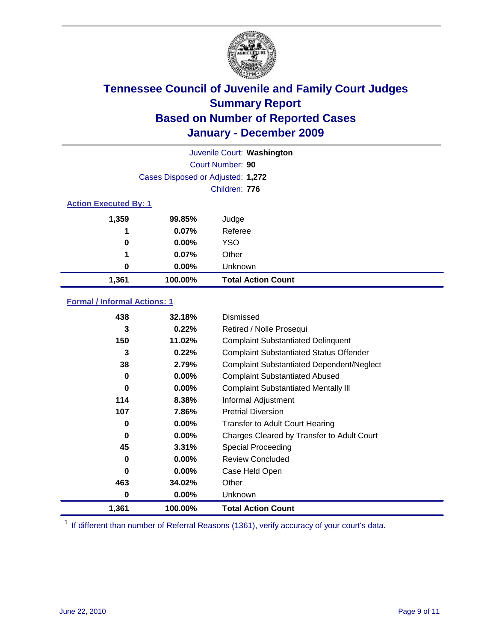

|                              | Juvenile Court: Washington        |                           |  |  |
|------------------------------|-----------------------------------|---------------------------|--|--|
|                              | Court Number: 90                  |                           |  |  |
|                              | Cases Disposed or Adjusted: 1,272 |                           |  |  |
|                              | Children: 776                     |                           |  |  |
| <b>Action Executed By: 1</b> |                                   |                           |  |  |
| 1,359                        | 99.85%                            | Judge                     |  |  |
| 1                            | 0.07%                             | Referee                   |  |  |
| 0                            | 0.00%                             | <b>YSO</b>                |  |  |
| 1                            | 0.07%                             | Other                     |  |  |
| 0                            | 0.00%                             | Unknown                   |  |  |
| 1,361                        | 100.00%                           | <b>Total Action Count</b> |  |  |

### **Formal / Informal Actions: 1**

| 438   | 32.18%   | Dismissed                                        |
|-------|----------|--------------------------------------------------|
| 3     | 0.22%    | Retired / Nolle Prosequi                         |
| 150   | 11.02%   | <b>Complaint Substantiated Delinquent</b>        |
| 3     | 0.22%    | <b>Complaint Substantiated Status Offender</b>   |
| 38    | 2.79%    | <b>Complaint Substantiated Dependent/Neglect</b> |
| 0     | 0.00%    | <b>Complaint Substantiated Abused</b>            |
| 0     | $0.00\%$ | <b>Complaint Substantiated Mentally III</b>      |
| 114   | 8.38%    | Informal Adjustment                              |
| 107   | 7.86%    | <b>Pretrial Diversion</b>                        |
| 0     | $0.00\%$ | <b>Transfer to Adult Court Hearing</b>           |
| 0     | $0.00\%$ | Charges Cleared by Transfer to Adult Court       |
| 45    | 3.31%    | <b>Special Proceeding</b>                        |
| 0     | $0.00\%$ | <b>Review Concluded</b>                          |
| 0     | $0.00\%$ | Case Held Open                                   |
| 463   | 34.02%   | Other                                            |
| 0     | 0.00%    | <b>Unknown</b>                                   |
| 1,361 | 100.00%  | <b>Total Action Count</b>                        |

<sup>1</sup> If different than number of Referral Reasons (1361), verify accuracy of your court's data.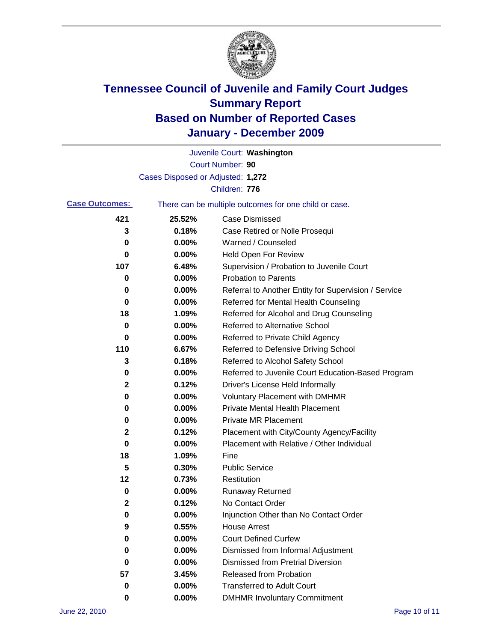

|                       |                                   | Juvenile Court: Washington                            |
|-----------------------|-----------------------------------|-------------------------------------------------------|
|                       |                                   | Court Number: 90                                      |
|                       | Cases Disposed or Adjusted: 1,272 |                                                       |
|                       |                                   | Children: 776                                         |
| <b>Case Outcomes:</b> |                                   | There can be multiple outcomes for one child or case. |
| 421                   | 25.52%                            | <b>Case Dismissed</b>                                 |
| 3                     | 0.18%                             | Case Retired or Nolle Prosequi                        |
| 0                     | 0.00%                             | Warned / Counseled                                    |
| 0                     | 0.00%                             | <b>Held Open For Review</b>                           |
| 107                   | 6.48%                             | Supervision / Probation to Juvenile Court             |
| 0                     | 0.00%                             | <b>Probation to Parents</b>                           |
| 0                     | 0.00%                             | Referral to Another Entity for Supervision / Service  |
| 0                     | 0.00%                             | Referred for Mental Health Counseling                 |
| 18                    | 1.09%                             | Referred for Alcohol and Drug Counseling              |
| 0                     | 0.00%                             | <b>Referred to Alternative School</b>                 |
| 0                     | 0.00%                             | Referred to Private Child Agency                      |
| 110                   | 6.67%                             | Referred to Defensive Driving School                  |
| 3                     | 0.18%                             | Referred to Alcohol Safety School                     |
| 0                     | 0.00%                             | Referred to Juvenile Court Education-Based Program    |
| 2                     | 0.12%                             | Driver's License Held Informally                      |
| 0                     | 0.00%                             | <b>Voluntary Placement with DMHMR</b>                 |
| 0                     | 0.00%                             | <b>Private Mental Health Placement</b>                |
| 0                     | 0.00%                             | <b>Private MR Placement</b>                           |
| 2                     | 0.12%                             | Placement with City/County Agency/Facility            |
| 0                     | 0.00%                             | Placement with Relative / Other Individual            |
| 18                    | 1.09%                             | Fine                                                  |
| 5                     | 0.30%                             | <b>Public Service</b>                                 |
| 12                    | 0.73%                             | Restitution                                           |
| 0                     | 0.00%                             | <b>Runaway Returned</b>                               |
| $\mathbf 2$           | 0.12%                             | No Contact Order                                      |
| 0                     | 0.00%                             | Injunction Other than No Contact Order                |
| 9                     | 0.55%                             | <b>House Arrest</b>                                   |
| 0                     | 0.00%                             | <b>Court Defined Curfew</b>                           |
| 0                     | 0.00%                             | Dismissed from Informal Adjustment                    |
| 0                     | 0.00%                             | <b>Dismissed from Pretrial Diversion</b>              |
| 57                    | 3.45%                             | Released from Probation                               |
| 0                     | 0.00%                             | <b>Transferred to Adult Court</b>                     |
| 0                     | $0.00\%$                          | <b>DMHMR Involuntary Commitment</b>                   |